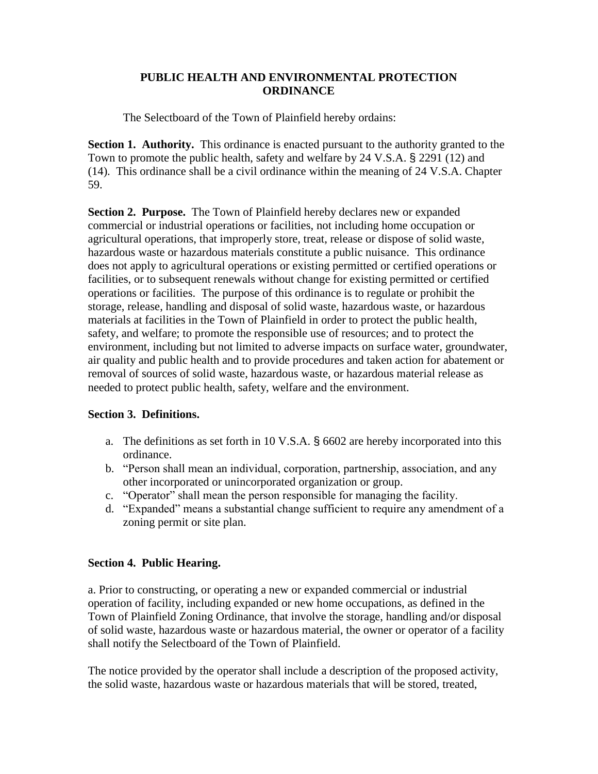## **PUBLIC HEALTH AND ENVIRONMENTAL PROTECTION ORDINANCE**

The Selectboard of the Town of Plainfield hereby ordains:

**Section 1. Authority.** This ordinance is enacted pursuant to the authority granted to the Town to promote the public health, safety and welfare by 24 V.S.A. § 2291 (12) and (14). This ordinance shall be a civil ordinance within the meaning of 24 V.S.A. Chapter 59.

**Section 2. Purpose.** The Town of Plainfield hereby declares new or expanded commercial or industrial operations or facilities, not including home occupation or agricultural operations, that improperly store, treat, release or dispose of solid waste, hazardous waste or hazardous materials constitute a public nuisance. This ordinance does not apply to agricultural operations or existing permitted or certified operations or facilities, or to subsequent renewals without change for existing permitted or certified operations or facilities. The purpose of this ordinance is to regulate or prohibit the storage, release, handling and disposal of solid waste, hazardous waste, or hazardous materials at facilities in the Town of Plainfield in order to protect the public health, safety, and welfare; to promote the responsible use of resources; and to protect the environment, including but not limited to adverse impacts on surface water, groundwater, air quality and public health and to provide procedures and taken action for abatement or removal of sources of solid waste, hazardous waste, or hazardous material release as needed to protect public health, safety, welfare and the environment.

## **Section 3. Definitions.**

- a. The definitions as set forth in 10 V.S.A. § 6602 are hereby incorporated into this ordinance.
- b. "Person shall mean an individual, corporation, partnership, association, and any other incorporated or unincorporated organization or group.
- c. "Operator" shall mean the person responsible for managing the facility.
- d. "Expanded" means a substantial change sufficient to require any amendment of a zoning permit or site plan.

## **Section 4. Public Hearing.**

a. Prior to constructing, or operating a new or expanded commercial or industrial operation of facility, including expanded or new home occupations, as defined in the Town of Plainfield Zoning Ordinance, that involve the storage, handling and/or disposal of solid waste, hazardous waste or hazardous material, the owner or operator of a facility shall notify the Selectboard of the Town of Plainfield.

The notice provided by the operator shall include a description of the proposed activity, the solid waste, hazardous waste or hazardous materials that will be stored, treated,